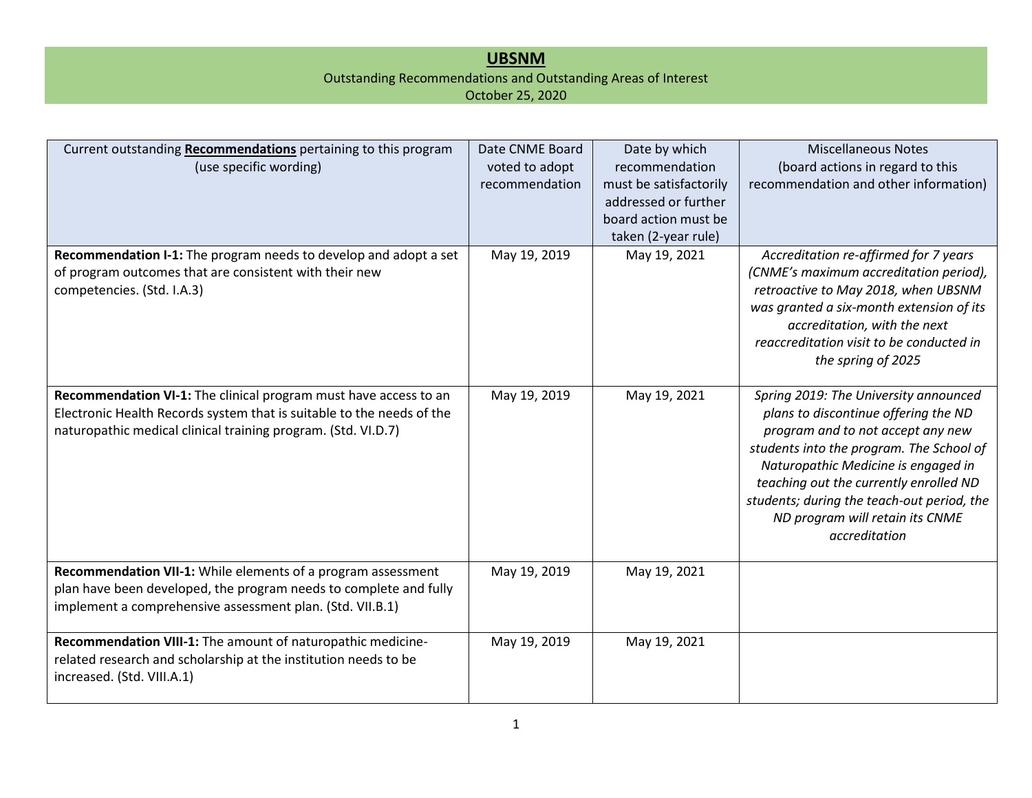## **UBSNM**

## Outstanding Recommendations and Outstanding Areas of Interest

October 25, 2020

| Current outstanding Recommendations pertaining to this program<br>(use specific wording)                                                                                                                   | Date CNME Board<br>voted to adopt<br>recommendation | Date by which<br>recommendation<br>must be satisfactorily<br>addressed or further<br>board action must be<br>taken (2-year rule) | <b>Miscellaneous Notes</b><br>(board actions in regard to this<br>recommendation and other information)                                                                                                                                                                                                                                           |
|------------------------------------------------------------------------------------------------------------------------------------------------------------------------------------------------------------|-----------------------------------------------------|----------------------------------------------------------------------------------------------------------------------------------|---------------------------------------------------------------------------------------------------------------------------------------------------------------------------------------------------------------------------------------------------------------------------------------------------------------------------------------------------|
| Recommendation I-1: The program needs to develop and adopt a set<br>of program outcomes that are consistent with their new<br>competencies. (Std. I.A.3)                                                   | May 19, 2019                                        | May 19, 2021                                                                                                                     | Accreditation re-affirmed for 7 years<br>(CNME's maximum accreditation period),<br>retroactive to May 2018, when UBSNM<br>was granted a six-month extension of its<br>accreditation, with the next<br>reaccreditation visit to be conducted in<br>the spring of 2025                                                                              |
| Recommendation VI-1: The clinical program must have access to an<br>Electronic Health Records system that is suitable to the needs of the<br>naturopathic medical clinical training program. (Std. VI.D.7) | May 19, 2019                                        | May 19, 2021                                                                                                                     | Spring 2019: The University announced<br>plans to discontinue offering the ND<br>program and to not accept any new<br>students into the program. The School of<br>Naturopathic Medicine is engaged in<br>teaching out the currently enrolled ND<br>students; during the teach-out period, the<br>ND program will retain its CNME<br>accreditation |
| Recommendation VII-1: While elements of a program assessment<br>plan have been developed, the program needs to complete and fully<br>implement a comprehensive assessment plan. (Std. VII.B.1)             | May 19, 2019                                        | May 19, 2021                                                                                                                     |                                                                                                                                                                                                                                                                                                                                                   |
| Recommendation VIII-1: The amount of naturopathic medicine-<br>related research and scholarship at the institution needs to be<br>increased. (Std. VIII.A.1)                                               | May 19, 2019                                        | May 19, 2021                                                                                                                     |                                                                                                                                                                                                                                                                                                                                                   |